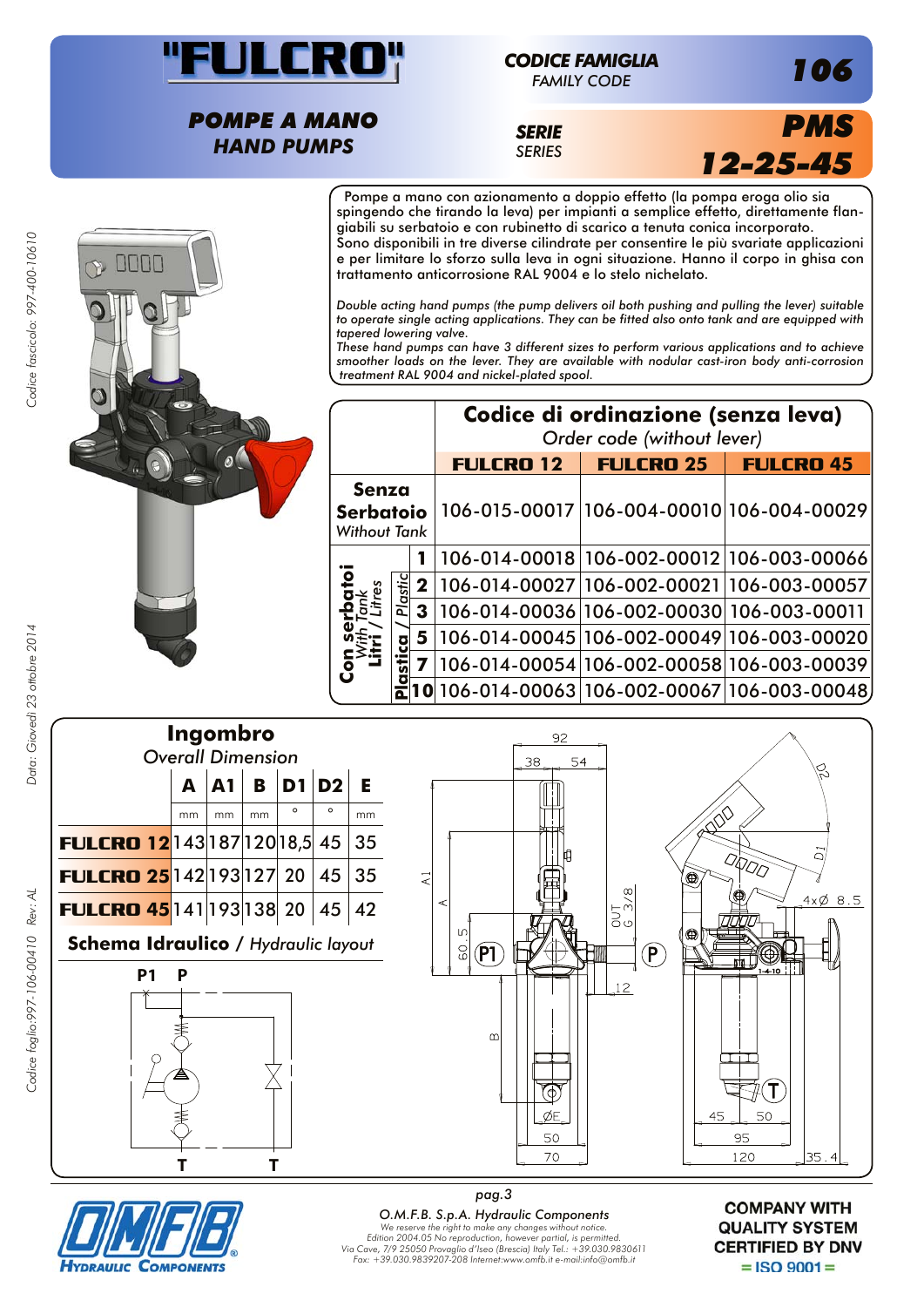

## *CODICE FAMIGLIA*

*FAMILY CODE*

*POMPE A MANO HAND PUMPS*

*SERIE SERIES*



*106*

Pompe a mano con azionamento a doppio effetto (la pompa eroga olio sia spingendo che tirando la leva) per impianti a semplice effetto, direttamente flangiabili su serbatoio e con rubinetto di scarico a tenuta conica incorporato. Sono disponibili in tre diverse cilindrate per consentire le più svariate applicazioni e per limitare lo sforzo sulla leva in ogni situazione. Hanno il corpo in ghisa con trattamento anticorrosione RAL 9004 e lo stelo nichelato.

*Double acting hand pumps (the pump delivers oil both pushing and pulling the lever) suitable to operate single acting applications. They can be fitted also onto tank and are equipped with tapered lowering valve.*

*These hand pumps can have 3 different sizes to perform various applications and to achieve smoother loads on the lever. They are available with nodular cast-iron body anti-corrosion treatment RAL 9004 and nickel-plated spool.*

|                                                  |         |                | Codice di ordinazione (senza leva)<br>Order code (without lever) |                                           |                                           |  |  |
|--------------------------------------------------|---------|----------------|------------------------------------------------------------------|-------------------------------------------|-------------------------------------------|--|--|
|                                                  |         |                | <b>FULCRO 12</b>                                                 | <b>FULCRO 25</b>                          | <b>FULCRO 45</b>                          |  |  |
| Senza<br><b>Serbatoio</b><br><b>Without Tank</b> |         |                |                                                                  |                                           | 106-015-00017 106-004-00010 106-004-00029 |  |  |
|                                                  |         |                |                                                                  |                                           | 106-014-00018 106-002-00012 106-003-00066 |  |  |
| O<br>3                                           | Plastic | $\mathbf 2$    |                                                                  | 106-014-00027 106-002-00021 106-003-00057 |                                           |  |  |
|                                                  |         | 3 <sup>1</sup> | 106-014-00036 106-002-00030 106-003-00011                        |                                           |                                           |  |  |
|                                                  |         | 5              |                                                                  |                                           | 106-014-00045 106-002-00049 106-003-00020 |  |  |
|                                                  |         |                |                                                                  |                                           | 106-014-00054 106-002-00058 106-003-00039 |  |  |
|                                                  |         |                | $0 106-014-00063 106-002-00067 106-003-00048$                    |                                           |                                           |  |  |









*pag.3 O.M.F.B. S.p.A. Hydraulic Components We reserve the right to make any changes without notice. Edition 2004.05 No reproduction, however partial, is permitted. Via Cave, 7/9 25050 Provaglio d'Iseo (Brescia) Italy Tel.: +39.030.9830611 Fax: +39.030.9839207-208 Internet:www.omfb.it e-mail:info@omfb.it*

**COMPANY WITH QUALITY SYSTEM CERTIFIED BY DNV**  $=$  ISO 9001 $=$ 

Codice fascicolo: 997-400-10610

Data: Giovedì 23 ottobre 2014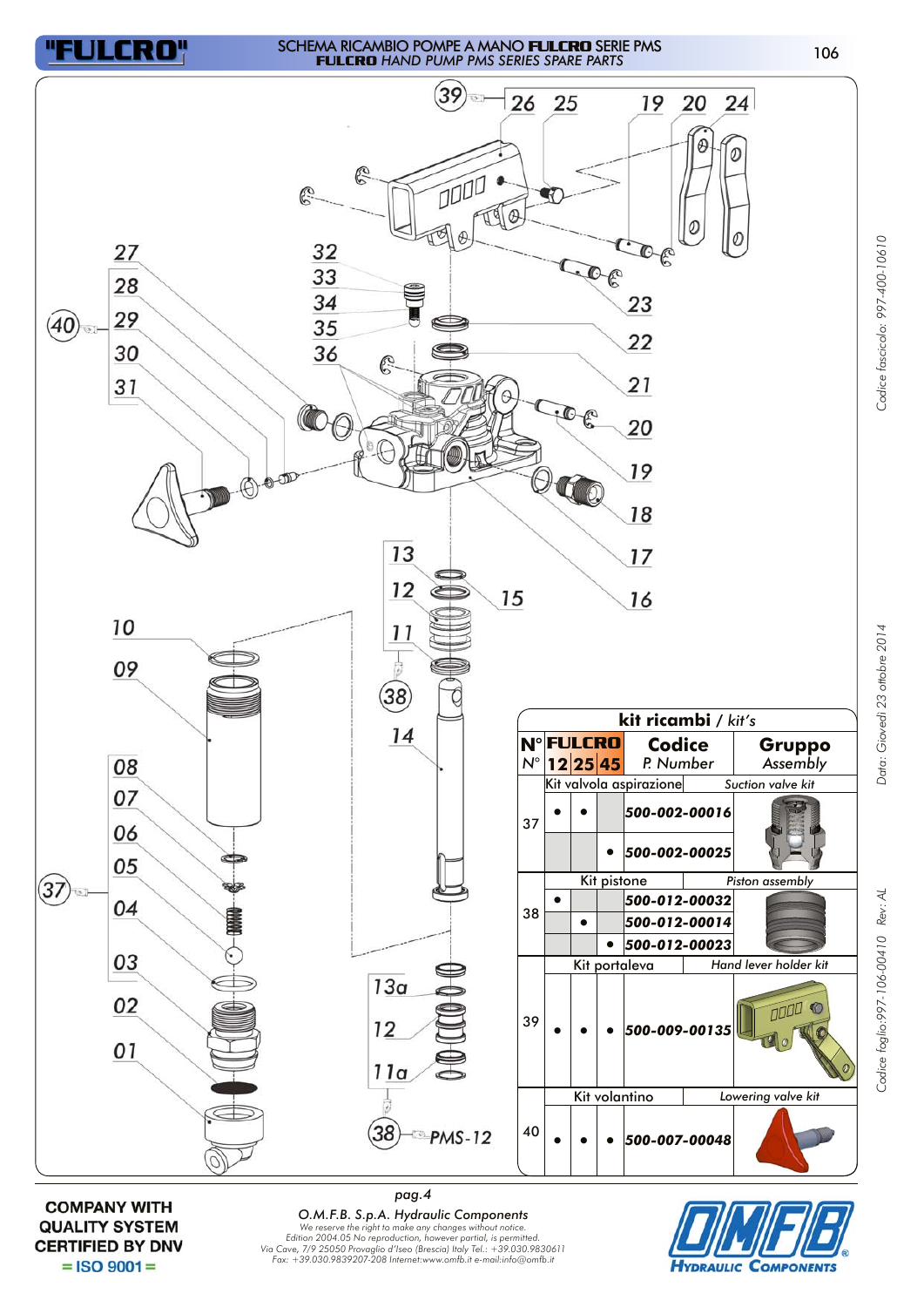

## <sup>106</sup> SCHEMA RICAMBIO POMPE A MANO **FULCRO** SERIE PMS **FULCRO** *HAND PUMP PMS SERIES SPARE PARTS*

*Codice foglio:997-106-00410 Rev: AL Data: Giovedì 23 ottobre 2014 Codice fascicolo: 997-400-10610* 

Oata: Giovedì 23 ottobre 2014

Codice foglio: 997-106-00410 Rev: AL

Codice fascicolo: 997-400-10610



**COMPANY WITH QUALITY SYSTEM CERTIFIED BY DNV**  $=$  ISO 9001 $=$ 

*pag.4 O.M.F.B. S.p.A. Hydraulic Components We reserve the right to make any changes without notice. Edition 2004.05 No reproduction, however partial, is permitted. Via Cave, 7/9 25050 Provaglio d'Iseo (Brescia) Italy Tel.: +39.030.9830611 Fax: +39.030.9839207-208 Internet:www.omfb.it e-mail:info@omfb.it*

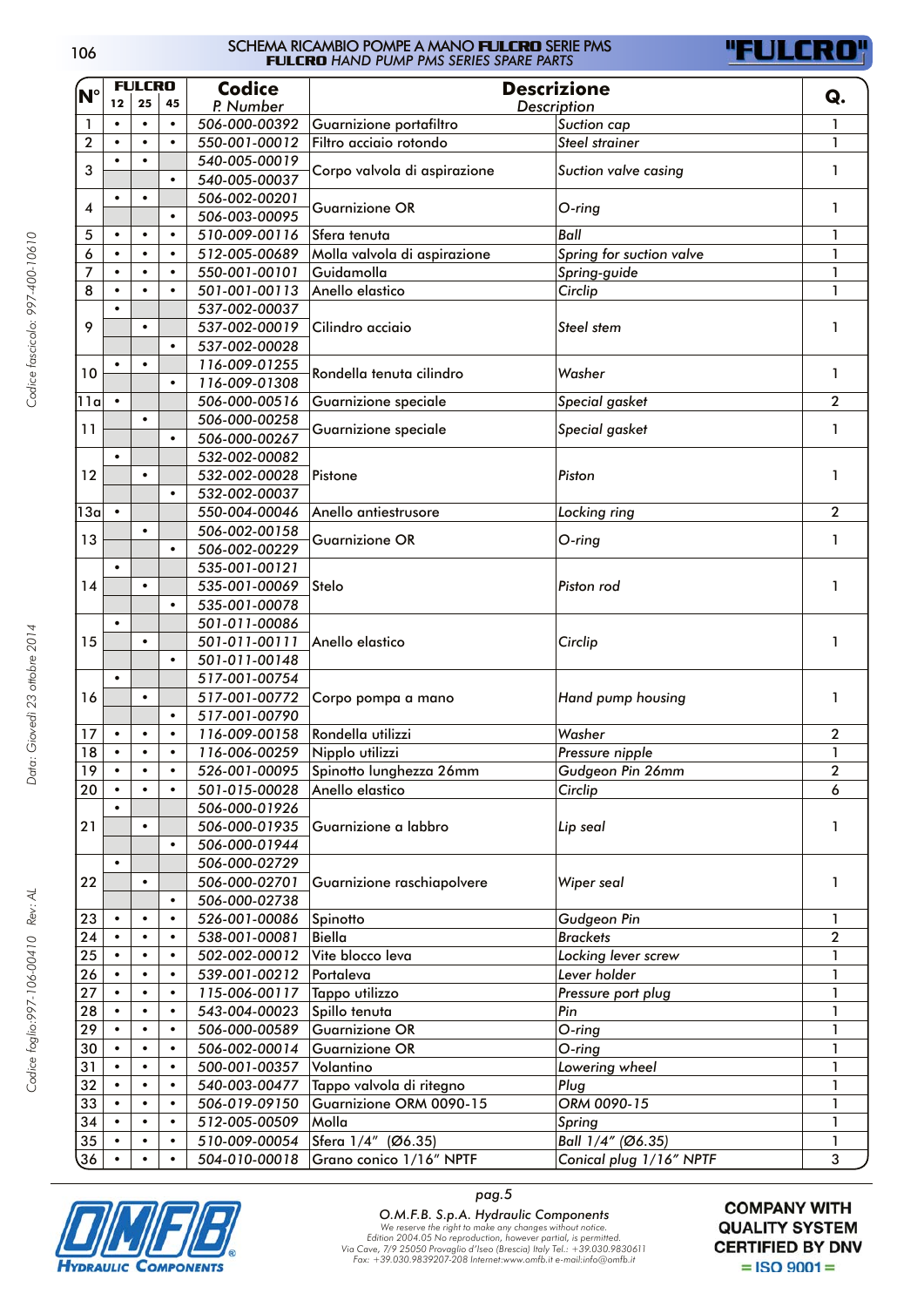| 106 | SCHEMA RICAMBIO POMPE A MANO <b>FLILERD</b> SERIE PMS<br><b>FULCRO</b> HAND PUMP PMS SERIES SPARE PARTS |
|-----|---------------------------------------------------------------------------------------------------------|
|     |                                                                                                         |



|                 |                        | <b>FULCRO</b> |           | <b>Codice</b> | <b>Descrizione</b><br>Description                        |                                      |                  |
|-----------------|------------------------|---------------|-----------|---------------|----------------------------------------------------------|--------------------------------------|------------------|
| $N^{\circ}$     | 12                     | 25            | 45        | P. Number     |                                                          |                                      |                  |
| $\mathbf{1}$    | $\bullet$              | $\bullet$     | $\bullet$ | 506-000-00392 | Guarnizione portafiltro                                  | Suction cap                          | 1                |
| $\overline{2}$  | $\bullet$              | $\bullet$     | $\bullet$ | 550-001-00012 | Filtro acciaio rotondo                                   | <b>Steel strainer</b>                | 1                |
|                 | $\bullet$              | $\bullet$     |           | 540-005-00019 |                                                          |                                      |                  |
| 3               |                        |               |           |               | Corpo valvola di aspirazione                             | Suction valve casing                 | 1                |
|                 | $\bullet$              |               |           | 540-005-00037 |                                                          |                                      |                  |
| 4               | $\bullet$<br>$\bullet$ |               |           | 506-002-00201 | <b>Guarnizione OR</b>                                    | $O$ -ring                            | 1                |
|                 | $\bullet$              |               |           | 506-003-00095 |                                                          |                                      |                  |
| 5               | $\bullet$              | $\bullet$     | $\bullet$ | 510-009-00116 | Sfera tenuta                                             | Ball                                 | 1                |
| 6               | $\bullet$              | ٠             | $\bullet$ | 512-005-00689 | Molla valvola di aspirazione<br>Spring for suction valve |                                      | 1                |
| 7               | $\bullet$              | ٠             | $\bullet$ | 550-001-00101 | Guidamolla                                               | Spring-guide                         | 1                |
| 8               | $\bullet$              |               | $\bullet$ | 501-001-00113 | Anello elastico                                          | Circlip                              | 1                |
|                 | ٠                      |               |           | 537-002-00037 |                                                          |                                      |                  |
| 9               |                        | $\bullet$     |           | 537-002-00019 | Cilindro acciaio                                         | Steel stem                           | 1                |
|                 |                        |               | $\bullet$ | 537-002-00028 |                                                          |                                      |                  |
|                 | $\bullet$              | $\bullet$     |           | 116-009-01255 | Rondella tenuta cilindro                                 | Washer                               |                  |
|                 | 10                     |               | $\bullet$ | 116-009-01308 |                                                          |                                      | 1                |
| 11a             |                        |               |           | 506-000-00516 | Guarnizione speciale                                     | Special gasket                       | 2                |
|                 |                        |               |           | 506-000-00258 |                                                          |                                      |                  |
| 11              |                        |               | $\bullet$ | 506-000-00267 | Guarnizione speciale                                     | Special gasket                       | 1                |
|                 | $\bullet$              |               |           | 532-002-00082 |                                                          |                                      |                  |
| 12              |                        | $\bullet$     |           | 532-002-00028 | Pistone                                                  | Piston                               | 1                |
|                 |                        |               | $\bullet$ | 532-002-00037 |                                                          |                                      |                  |
| 13a             | $\bullet$              |               |           | 550-004-00046 | Anello antiestrusore                                     | Locking ring                         | 2                |
|                 |                        |               |           | 506-002-00158 |                                                          |                                      |                  |
| 13              |                        | $\bullet$     |           | 506-002-00229 | <b>Guarnizione OR</b>                                    | $O$ -ring                            | 1                |
|                 | $\bullet$              |               |           |               |                                                          |                                      |                  |
|                 |                        |               |           | 535-001-00121 |                                                          |                                      |                  |
| 14              |                        | $\bullet$     |           | 535-001-00069 | Stelo                                                    | Piston rod                           | 1                |
|                 |                        |               | $\bullet$ | 535-001-00078 |                                                          |                                      |                  |
|                 | $\bullet$              |               |           | 501-011-00086 |                                                          |                                      |                  |
| 15              |                        |               |           | 501-011-00111 | Anello elastico                                          | Circlip                              | 1                |
|                 |                        |               | $\bullet$ | 501-011-00148 |                                                          |                                      |                  |
|                 | $\bullet$              |               |           | 517-001-00754 |                                                          |                                      |                  |
| 16              |                        | $\bullet$     |           | 517-001-00772 | Corpo pompa a mano                                       | Hand pump housing                    | 1                |
|                 |                        |               | $\bullet$ | 517-001-00790 |                                                          |                                      |                  |
| 17              |                        |               | $\bullet$ | 116-009-00158 | Rondella utilizzi                                        | Washer                               | $\overline{2}$   |
| 18              | $\bullet$              | $\bullet$     | $\bullet$ | 116-006-00259 | Nipplo utilizzi                                          | Pressure nipple                      | 1                |
| $\overline{19}$ |                        |               |           |               | 526-001-00095 Spinotto lunghezza 26mm                    | Gudgeon Pin 26mm                     | $\boldsymbol{2}$ |
| 20              | $\bullet$              |               |           | 501-015-00028 | Anello elastico                                          | Circlip                              | 6                |
|                 |                        |               |           | 506-000-01926 |                                                          |                                      |                  |
| 21              |                        | $\bullet$     |           | 506-000-01935 | Guarnizione a labbro                                     | Lip seal                             | 1                |
|                 |                        |               | $\bullet$ | 506-000-01944 |                                                          |                                      |                  |
|                 | $\bullet$              |               |           | 506-000-02729 |                                                          |                                      |                  |
| 22              |                        | $\bullet$     |           | 506-000-02701 | Guarnizione raschiapolvere                               | Wiper seal                           | 1                |
|                 |                        |               | $\bullet$ | 506-000-02738 |                                                          |                                      |                  |
| 23              | $\bullet$              | $\bullet$     | $\bullet$ | 526-001-00086 | Spinotto                                                 | Gudgeon Pin                          | 1                |
| 24              | $\bullet$              |               | $\bullet$ | 538-001-00081 | Biella                                                   | <b>Brackets</b>                      | $\overline{2}$   |
| 25              |                        | $\bullet$     | $\bullet$ | 502-002-00012 | Vite blocco leva                                         | Locking lever screw                  | 1                |
| 26              | $\bullet$              | $\bullet$     | $\bullet$ | 539-001-00212 | Portaleva                                                | Lever holder                         | 1                |
| 27              | $\bullet$              | $\bullet$     | $\bullet$ | 115-006-00117 |                                                          |                                      | 1                |
|                 |                        |               |           |               |                                                          | Tappo utilizzo<br>Pressure port plug |                  |
| 28              | $\bullet$              | $\bullet$     | $\bullet$ | 543-004-00023 | Spillo tenuta                                            | Pin                                  | 1                |
| 29              | $\bullet$              | $\bullet$     | $\bullet$ | 506-000-00589 | <b>Guarnizione OR</b>                                    | O-ring                               | 1                |
| 30              | $\bullet$              | $\bullet$     | $\bullet$ | 506-002-00014 | <b>Guarnizione OR</b>                                    | O-ring                               | 1                |
| 31              | $\bullet$              | $\bullet$     | $\bullet$ | 500-001-00357 | Volantino                                                | Lowering wheel                       | 1                |
| 32              | $\bullet$              | $\bullet$     | $\bullet$ | 540-003-00477 | Tappo valvola di ritegno                                 | Plug                                 | 1                |
| 33              | $\bullet$              | $\bullet$     | $\bullet$ | 506-019-09150 | Guarnizione ORM 0090-15                                  | ORM 0090-15                          | 1                |
| 34              | $\bullet$              | $\bullet$     | $\bullet$ | 512-005-00509 | Molla                                                    | Spring                               | 1                |
| 35              | $\bullet$              | $\bullet$     | $\bullet$ | 510-009-00054 | Sfera 1/4" (Ø6.35)                                       | Ball 1/4" (Ø6.35)                    | 1                |
| 36              |                        | $\bullet$     | $\bullet$ | 504-010-00018 | Grano conico 1/16" NPTF                                  | Conical plug 1/16" NPTF              | 3                |



*pag.5*

**O.M.F.B. S.p.A. Hydraulic Components**<br>We reserve the right to make any changes without notice.<br>Edition 2004.05 No reproduction, however partial, is permitted.<br>Via Cave, 7/9 25050 Provaglio d'Iseo (Brescia) Italy Tel.: +3

**COMPANY WITH QUALITY SYSTEM CERTIFIED BY DNV**  $=$  ISO 9001 $=$